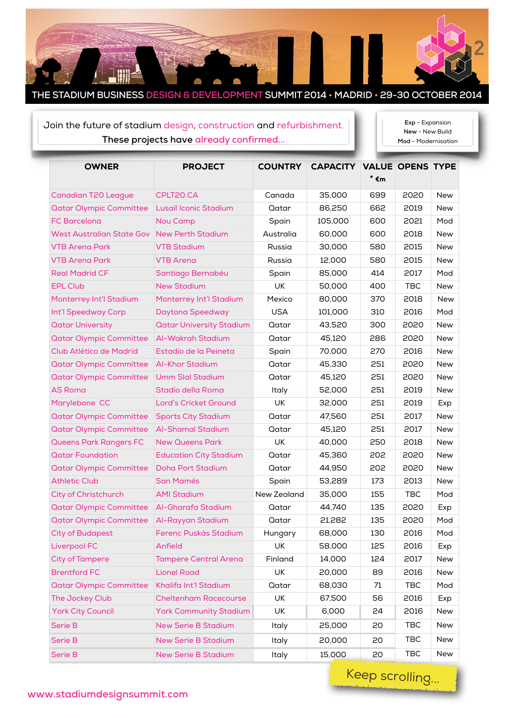

## Join the future of stadium design, construction and refurbishment. **These projects have already confirmed...**

**Exp** - Expansion **New** - New Build **Mod** - Modernisation

| <b>OWNER</b>                     | <b>PROJECT</b>                  | <b>COUNTRY</b> | <b>CAPACITY VALUE OPENS TYPE</b> |      |            |            |
|----------------------------------|---------------------------------|----------------|----------------------------------|------|------------|------------|
|                                  |                                 |                |                                  | * €m |            |            |
| <b>Canadian T20 League</b>       | CPLT20.CA                       | Canada         | 35,000                           | 699  | 2020       | <b>New</b> |
| <b>Qatar Olympic Committee</b>   | Lusail Iconic Stadium           | Qatar          | 86,250                           | 662  | 2019       | <b>New</b> |
| <b>FC Barcelona</b>              | <b>Nou Camp</b>                 | Spain          | 105,000                          | 600  | 2021       | Mod        |
| <b>West Australian State Gov</b> | <b>New Perth Stadium</b>        | Australia      | 60,000                           | 600  | 2018       | <b>New</b> |
| <b>VTB Arena Park</b>            | <b>VTB Stadium</b>              | Russia         | 30,000                           | 580  | 2015       | <b>New</b> |
| <b>VTB Arena Park</b>            | <b>VTB Arena</b>                | Russia         | 12,000                           | 580  | 2015       | <b>New</b> |
| <b>Real Madrid CF</b>            | Santiago Bernabéu               | Spain          | 85,000                           | 414  | 2017       | Mod        |
| <b>EPL Club</b>                  | <b>New Stadium</b>              | UK             | 50,000                           | 400  | <b>TBC</b> | <b>New</b> |
| Monterrey Int'l Stadium          | Monterrey Int'l Stadium         | Mexico         | 80,000                           | 370  | 2018       | <b>New</b> |
| Int'l Speedway Corp              | Daytona Speedway                | <b>USA</b>     | 101,000                          | 310  | 2016       | Mod        |
| <b>Qatar University</b>          | <b>Qatar University Stadium</b> | Qatar          | 43,520                           | 300  | 2020       | <b>New</b> |
| <b>Qatar Olympic Committee</b>   | Al-Wakrah Stadium               | Qatar          | 45,120                           | 286  | 2020       | <b>New</b> |
| Club Atlético de Madrid          | Estadio de la Peineta           | Spain          | 70,000                           | 270  | 2016       | <b>New</b> |
| <b>Qatar Olympic Committee</b>   | <b>Al-Khor Stadium</b>          | Qatar          | 45,330                           | 251  | 2020       | New        |
| <b>Qatar Olympic Committee</b>   | <b>Umm Slal Stadium</b>         | Qatar          | 45,120                           | 251  | 2020       | <b>New</b> |
| <b>AS Roma</b>                   | Stadio della Roma               | Italy          | 52,000                           | 251  | 2019       | New        |
| Marylebone CC                    | Lord's Cricket Ground           | <b>UK</b>      | 32,000                           | 251  | 2019       | Exp        |
| <b>Qatar Olympic Committee</b>   | <b>Sports City Stadium</b>      | Qatar          | 47,560                           | 251  | 2017       | <b>New</b> |
| <b>Qatar Olympic Committee</b>   | <b>Al-Shamal Stadium</b>        | Qatar          | 45,120                           | 251  | 2017       | <b>New</b> |
| Queens Park Rangers FC           | <b>New Queens Park</b>          | UK             | 40,000                           | 250  | 2018       | <b>New</b> |
| <b>Qatar Foundation</b>          | <b>Education City Stadium</b>   | Qatar          | 45,360                           | 202  | 2020       | <b>New</b> |
| <b>Qatar Olympic Committee</b>   | <b>Doha Port Stadium</b>        | Qatar          | 44,950                           | 202  | 2020       | New        |
| <b>Athletic Club</b>             | <b>San Mamés</b>                | Spain          | 53,289                           | 173  | 2013       | <b>New</b> |
| City of Christchurch             | <b>AMI Stadium</b>              | New Zealand    | 35,000                           | 155  | <b>TBC</b> | Mod        |
| <b>Qatar Olympic Committee</b>   | Al-Gharafa Stadium              | Qatar          | 44,740                           | 135  | 2020       | Exp        |
| <b>Qatar Olympic Committee</b>   | Al-Rayyan Stadium               | Qatar          | 21,282                           | 135  | 2020       | Mod        |
| <b>City of Budapest</b>          | Ferenc Puskás Stadium           | Hungary        | 68,000                           | 130  | 2016       | Mod        |
| <b>Liverpool FC</b>              | Anfield                         | UK             | 58,000                           | 125  | 2016       | Exp        |
| <b>City of Tampere</b>           | <b>Tampere Central Arena</b>    | Finland        | 14,000                           | 124  | 2017       | New        |
| <b>Brentford FC</b>              | <b>Lionel Road</b>              | <b>UK</b>      | 20,000                           | 89   | 2016       | New        |
| <b>Qatar Olympic Committee</b>   | Khalifa Int'l Stadium           | Qatar          | 68,030                           | 71   | <b>TBC</b> | Mod        |
| The Jockey Club                  | <b>Cheltenham Racecourse</b>    | UK             | 67,500                           | 56   | 2016       | Exp        |
| <b>York City Council</b>         | <b>York Community Stadium</b>   | UK             | 6,000                            | 24   | 2016       | New        |
| Serie B                          | <b>New Serie B Stadium</b>      | Italy          | 25,000                           | 20   | TBC        | New        |
| Serie B                          | <b>New Serie B Stadium</b>      | Italy          | 20,000                           | 20   | <b>TBC</b> | New        |
| Serie B                          | <b>New Serie B Stadium</b>      | Italy          | 15,000                           | 20   | <b>TBC</b> | New        |

Keep scrolling...